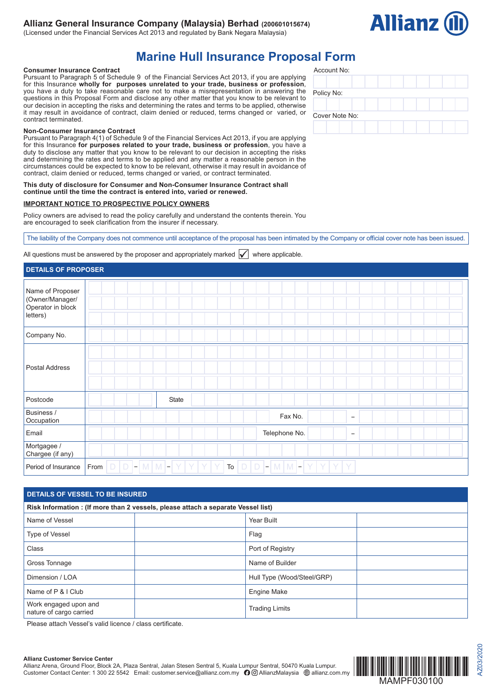### **Allianz General Insurance Company (Malaysia) Berhad (200601015674)**

(Licensed under the Financial Services Act 2013 and regulated by Bank Negara Malaysia)



## **Marine Hull Insurance Proposal Form**

Account No:

Policy No:

Cover Note No:

#### **Consumer Insurance Contract**

Pursuant to Paragraph 5 of Schedule 9 of the Financial Services Act 2013, if you are applying for this Insurance **wholly for purposes unrelated to your trade, business or profession**, you have a duty to take reasonable care not to make a misrepresentation in answering the questions in this Proposal Form and disclose any other matter that you know to be relevant to our decision in accepting the risks and determining the rates and terms to be applied, otherwise it may result in avoidance of contract, claim denied or reduced, terms changed or varied, or contract terminated.

#### **Non-Consumer Insurance Contract**

Pursuant to Paragraph 4(1) of Schedule 9 of the Financial Services Act 2013, if you are applying for this Insurance **for purposes related to your trade, business or profession**, you have a duty to disclose any matter that you know to be relevant to our decision in accepting the risks and determining the rates and terms to be applied and any matter a reasonable person in the circumstances could be expected to know to be relevant, otherwise it may result in avoidance of contract, claim denied or reduced, terms changed or varied, or contract terminated.

#### **This duty of disclosure for Consumer and Non-Consumer Insurance Contract shall continue until the time the contract is entered into, varied or renewed.**

#### **IMPORTANT NOTICE TO PROSPECTIVE POLICY OWNERS**

Policy owners are advised to read the policy carefully and understand the contents therein. You are encouraged to seek clarification from the insurer if necessary.

The liability of the Company does not commence until acceptance of the proposal has been intimated by the Company or official cover note has been issued.

All questions must be answered by the proposer and appropriately marked  $\blacktriangledown$  where applicable.

# **DETAILS OF PROPOSER** Name of Proposer (Owner/Manager/ Operator in block letters) Company No. Postal Address Postcode  $\vert \vert$  | | | | State Business /<br>Occupation Occupation Fax No. <sup>−</sup> Email Telephone No. − Mortgagee / Chargee (if any) Period of Insurance From  $\Box$  D  $\Box$  M  $\Box$  M  $\Box$  Y  $\Box$  Y  $\Box$  To  $\Box$  D  $\Box$  M  $\Box$   $\Box$

| <b>DETAILS OF VESSEL TO BE INSURED</b>                                            |  |                            |  |  |  |  |
|-----------------------------------------------------------------------------------|--|----------------------------|--|--|--|--|
| Risk Information : (If more than 2 vessels, please attach a separate Vessel list) |  |                            |  |  |  |  |
| Name of Vessel                                                                    |  | Year Built                 |  |  |  |  |
| <b>Type of Vessel</b>                                                             |  | Flag                       |  |  |  |  |
| Class                                                                             |  | Port of Registry           |  |  |  |  |
| Gross Tonnage                                                                     |  | Name of Builder            |  |  |  |  |
| Dimension / LOA                                                                   |  | Hull Type (Wood/Steel/GRP) |  |  |  |  |
| Name of P & I Club                                                                |  | <b>Engine Make</b>         |  |  |  |  |
| Work engaged upon and<br>nature of cargo carried                                  |  | <b>Trading Limits</b>      |  |  |  |  |

Please attach Vessel's valid licence / class certificate.